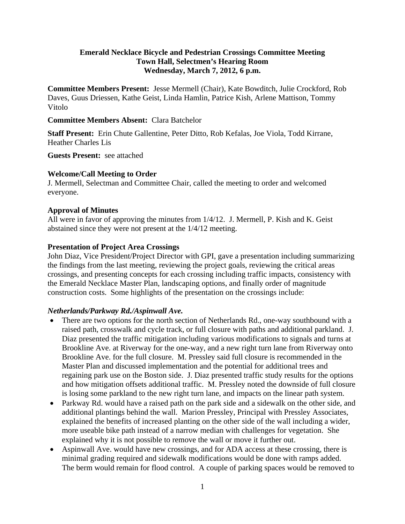#### **Emerald Necklace Bicycle and Pedestrian Crossings Committee Meeting Town Hall, Selectmen's Hearing Room Wednesday, March 7, 2012, 6 p.m.**

**Committee Members Present:** Jesse Mermell (Chair), Kate Bowditch, Julie Crockford, Rob Daves, Guus Driessen, Kathe Geist, Linda Hamlin, Patrice Kish, Arlene Mattison, Tommy Vitolo

#### **Committee Members Absent:** Clara Batchelor

**Staff Present:** Erin Chute Gallentine, Peter Ditto, Rob Kefalas, Joe Viola, Todd Kirrane, Heather Charles Lis

**Guests Present:** see attached

#### **Welcome/Call Meeting to Order**

J. Mermell, Selectman and Committee Chair, called the meeting to order and welcomed everyone.

#### **Approval of Minutes**

All were in favor of approving the minutes from 1/4/12. J. Mermell, P. Kish and K. Geist abstained since they were not present at the 1/4/12 meeting.

#### **Presentation of Project Area Crossings**

John Diaz, Vice President/Project Director with GPI, gave a presentation including summarizing the findings from the last meeting, reviewing the project goals, reviewing the critical areas crossings, and presenting concepts for each crossing including traffic impacts, consistency with the Emerald Necklace Master Plan, landscaping options, and finally order of magnitude construction costs. Some highlights of the presentation on the crossings include:

#### *Netherlands/Parkway Rd./Aspinwall Ave.*

- There are two options for the north section of Netherlands Rd., one-way southbound with a raised path, crosswalk and cycle track, or full closure with paths and additional parkland. J. Diaz presented the traffic mitigation including various modifications to signals and turns at Brookline Ave. at Riverway for the one-way, and a new right turn lane from Riverway onto Brookline Ave. for the full closure. M. Pressley said full closure is recommended in the Master Plan and discussed implementation and the potential for additional trees and regaining park use on the Boston side. J. Diaz presented traffic study results for the options and how mitigation offsets additional traffic. M. Pressley noted the downside of full closure is losing some parkland to the new right turn lane, and impacts on the linear path system.
- Parkway Rd. would have a raised path on the park side and a sidewalk on the other side, and additional plantings behind the wall. Marion Pressley, Principal with Pressley Associates, explained the benefits of increased planting on the other side of the wall including a wider, more useable bike path instead of a narrow median with challenges for vegetation. She explained why it is not possible to remove the wall or move it further out.
- Aspinwall Ave. would have new crossings, and for ADA access at these crossing, there is minimal grading required and sidewalk modifications would be done with ramps added. The berm would remain for flood control. A couple of parking spaces would be removed to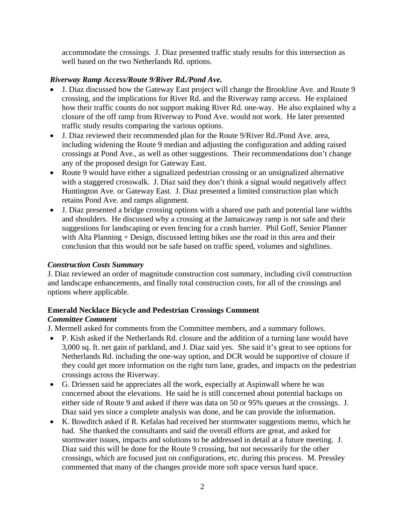accommodate the crossings. J. Diaz presented traffic study results for this intersection as well based on the two Netherlands Rd. options.

# *Riverway Ramp Access/Route 9/River Rd./Pond Ave.*

- J. Diaz discussed how the Gateway East project will change the Brookline Ave. and Route 9 crossing, and the implications for River Rd. and the Riverway ramp access. He explained how their traffic counts do not support making River Rd. one-way. He also explained why a closure of the off ramp from Riverway to Pond Ave. would not work. He later presented traffic study results comparing the various options.
- J. Diaz reviewed their recommended plan for the Route 9/River Rd./Pond Ave. area, including widening the Route 9 median and adjusting the configuration and adding raised crossings at Pond Ave., as well as other suggestions. Their recommendations don't change any of the proposed design for Gateway East.
- Route 9 would have either a signalized pedestrian crossing or an unsignalized alternative with a staggered crosswalk. J. Diaz said they don't think a signal would negatively affect Huntington Ave. or Gateway East. J. Diaz presented a limited construction plan which retains Pond Ave. and ramps alignment.
- J. Diaz presented a bridge crossing options with a shared use path and potential lane widths and shoulders. He discussed why a crossing at the Jamaicaway ramp is not safe and their suggestions for landscaping or even fencing for a crash barrier. Phil Goff, Senior Planner with Alta Planning + Design, discussed letting bikes use the road in this area and their conclusion that this would not be safe based on traffic speed, volumes and sightlines.

# *Construction Costs Summary*

J. Diaz reviewed an order of magnitude construction cost summary, including civil construction and landscape enhancements, and finally total construction costs, for all of the crossings and options where applicable.

# **Emerald Necklace Bicycle and Pedestrian Crossings Comment**

# *Committee Comment*

J. Mermell asked for comments from the Committee members, and a summary follows.

- P. Kish asked if the Netherlands Rd. closure and the addition of a turning lane would have 3,000 sq. ft. net gain of parkland, and J. Diaz said yes. She said it's great to see options for Netherlands Rd. including the one-way option, and DCR would be supportive of closure if they could get more information on the right turn lane, grades, and impacts on the pedestrian crossings across the Riverway.
- G. Driessen said he appreciates all the work, especially at Aspinwall where he was concerned about the elevations. He said he is still concerned about potential backups on either side of Route 9 and asked if there was data on 50 or 95% queues at the crossings. J. Diaz said yes since a complete analysis was done, and he can provide the information.
- K. Bowditch asked if R. Kefalas had received her stormwater suggestions memo, which he had. She thanked the consultants and said the overall efforts are great, and asked for stormwater issues, impacts and solutions to be addressed in detail at a future meeting. J. Diaz said this will be done for the Route 9 crossing, but not necessarily for the other crossings, which are focused just on configurations, etc. during this process. M. Pressley commented that many of the changes provide more soft space versus hard space.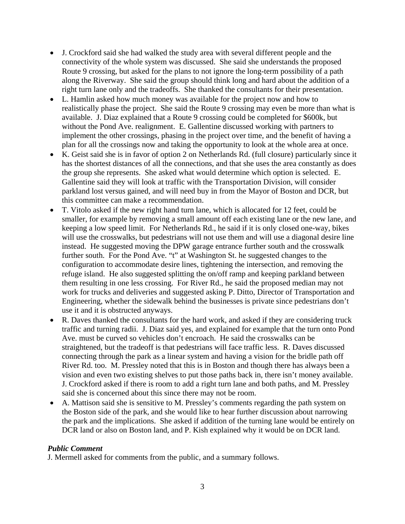- J. Crockford said she had walked the study area with several different people and the connectivity of the whole system was discussed. She said she understands the proposed Route 9 crossing, but asked for the plans to not ignore the long-term possibility of a path along the Riverway. She said the group should think long and hard about the addition of a right turn lane only and the tradeoffs. She thanked the consultants for their presentation.
- L. Hamlin asked how much money was available for the project now and how to realistically phase the project. She said the Route 9 crossing may even be more than what is available. J. Diaz explained that a Route 9 crossing could be completed for \$600k, but without the Pond Ave. realignment. E. Gallentine discussed working with partners to implement the other crossings, phasing in the project over time, and the benefit of having a plan for all the crossings now and taking the opportunity to look at the whole area at once.
- K. Geist said she is in favor of option 2 on Netherlands Rd. (full closure) particularly since it has the shortest distances of all the connections, and that she uses the area constantly as does the group she represents. She asked what would determine which option is selected. E. Gallentine said they will look at traffic with the Transportation Division, will consider parkland lost versus gained, and will need buy in from the Mayor of Boston and DCR, but this committee can make a recommendation.
- T. Vitolo asked if the new right hand turn lane, which is allocated for 12 feet, could be smaller, for example by removing a small amount off each existing lane or the new lane, and keeping a low speed limit. For Netherlands Rd., he said if it is only closed one-way, bikes will use the crosswalks, but pedestrians will not use them and will use a diagonal desire line instead. He suggested moving the DPW garage entrance further south and the crosswalk further south. For the Pond Ave. "t" at Washington St. he suggested changes to the configuration to accommodate desire lines, tightening the intersection, and removing the refuge island. He also suggested splitting the on/off ramp and keeping parkland between them resulting in one less crossing. For River Rd., he said the proposed median may not work for trucks and deliveries and suggested asking P. Ditto, Director of Transportation and Engineering, whether the sidewalk behind the businesses is private since pedestrians don't use it and it is obstructed anyways.
- R. Daves thanked the consultants for the hard work, and asked if they are considering truck traffic and turning radii. J. Diaz said yes, and explained for example that the turn onto Pond Ave. must be curved so vehicles don't encroach. He said the crosswalks can be straightened, but the tradeoff is that pedestrians will face traffic less. R. Daves discussed connecting through the park as a linear system and having a vision for the bridle path off River Rd. too. M. Pressley noted that this is in Boston and though there has always been a vision and even two existing shelves to put those paths back in, there isn't money available. J. Crockford asked if there is room to add a right turn lane and both paths, and M. Pressley said she is concerned about this since there may not be room.
- A. Mattison said she is sensitive to M. Pressley's comments regarding the path system on the Boston side of the park, and she would like to hear further discussion about narrowing the park and the implications. She asked if addition of the turning lane would be entirely on DCR land or also on Boston land, and P. Kish explained why it would be on DCR land.

# *Public Comment*

J. Mermell asked for comments from the public, and a summary follows.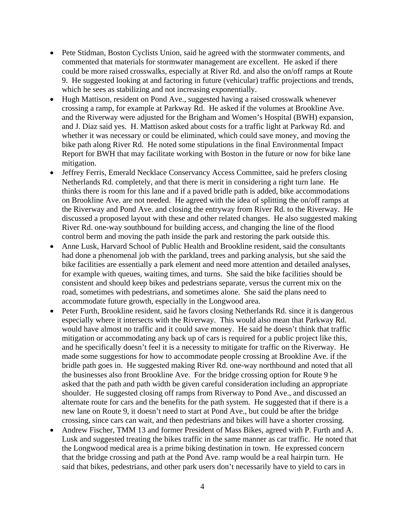- Pete Stidman, Boston Cyclists Union, said he agreed with the stormwater comments, and commented that materials for stormwater management are excellent. He asked if there could be more raised crosswalks, especially at River Rd. and also the on/off ramps at Route 9. He suggested looking at and factoring in future (vehicular) traffic projections and trends, which he sees as stabilizing and not increasing exponentially.
- Hugh Mattison, resident on Pond Ave., suggested having a raised crosswalk whenever crossing a ramp, for example at Parkway Rd. He asked if the volumes at Brookline Ave. and the Riverway were adjusted for the Brigham and Women's Hospital (BWH) expansion, and J. Diaz said yes. H. Mattison asked about costs for a traffic light at Parkway Rd. and whether it was necessary or could be eliminated, which could save money, and moving the bike path along River Rd. He noted some stipulations in the final Environmental Impact Report for BWH that may facilitate working with Boston in the future or now for bike lane mitigation.
- Jeffrey Ferris, Emerald Necklace Conservancy Access Committee, said he prefers closing Netherlands Rd. completely, and that there is merit in considering a right turn lane. He thinks there is room for this lane and if a paved bridle path is added, bike accommodations on Brookline Ave. are not needed. He agreed with the idea of splitting the on/off ramps at the Riverway and Pond Ave. and closing the entryway from River Rd. to the Riverway. He discussed a proposed layout with these and other related changes. He also suggested making River Rd. one-way southbound for building access, and changing the line of the flood control berm and moving the path inside the park and restoring the park outside this.
- Anne Lusk, Harvard School of Public Health and Brookline resident, said the consultants had done a phenomenal job with the parkland, trees and parking analysis, but she said the bike facilities are essentially a park element and need more attention and detailed analyses, for example with queues, waiting times, and turns. She said the bike facilities should be consistent and should keep bikes and pedestrians separate, versus the current mix on the road, sometimes with pedestrians, and sometimes alone. She said the plans need to accommodate future growth, especially in the Longwood area.
- Peter Furth, Brookline resident, said he favors closing Netherlands Rd. since it is dangerous especially where it intersects with the Riverway. This would also mean that Parkway Rd. would have almost no traffic and it could save money. He said he doesn't think that traffic mitigation or accommodating any back up of cars is required for a public project like this, and he specifically doesn't feel it is a necessity to mitigate for traffic on the Riverway. He made some suggestions for how to accommodate people crossing at Brookline Ave. if the bridle path goes in. He suggested making River Rd. one-way northbound and noted that all the businesses also front Brookline Ave. For the bridge crossing option for Route 9 he asked that the path and path width be given careful consideration including an appropriate shoulder. He suggested closing off ramps from Riverway to Pond Ave., and discussed an alternate route for cars and the benefits for the path system. He suggested that if there is a new lane on Route 9, it doesn't need to start at Pond Ave., but could be after the bridge crossing, since cars can wait, and then pedestrians and bikes will have a shorter crossing.
- Andrew Fischer, TMM 13 and former President of Mass Bikes, agreed with P. Furth and A. Lusk and suggested treating the bikes traffic in the same manner as car traffic. He noted that the Longwood medical area is a prime biking destination in town. He expressed concern that the bridge crossing and path at the Pond Ave. ramp would be a real hairpin turn. He said that bikes, pedestrians, and other park users don't necessarily have to yield to cars in